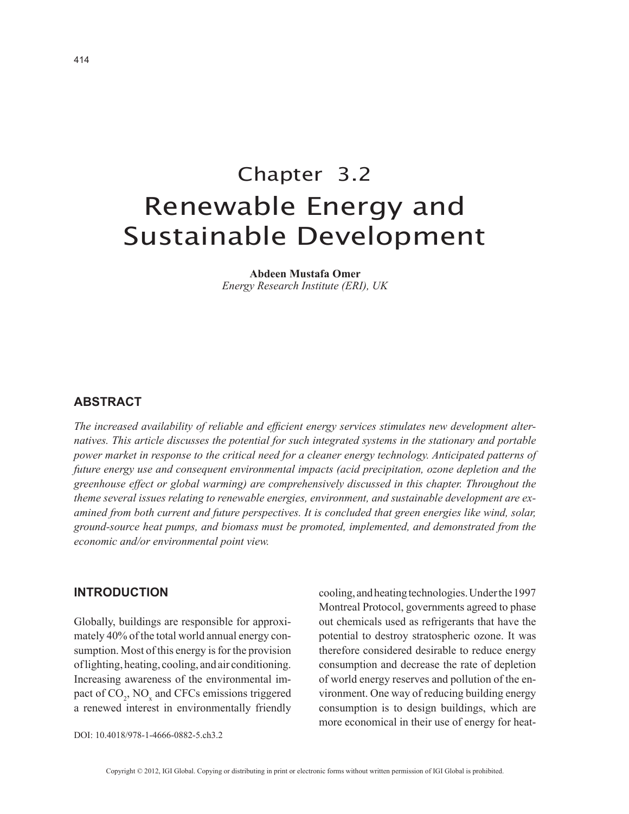# Chapter 3.2 Renewable Energy and Sustainable Development

**Abdeen Mustafa Omer** *Energy Research Institute (ERI), UK*

## **ABSTRACT**

*The increased availability of reliable and efficient energy services stimulates new development alternatives. This article discusses the potential for such integrated systems in the stationary and portable power market in response to the critical need for a cleaner energy technology. Anticipated patterns of future energy use and consequent environmental impacts (acid precipitation, ozone depletion and the greenhouse effect or global warming) are comprehensively discussed in this chapter. Throughout the theme several issues relating to renewable energies, environment, and sustainable development are examined from both current and future perspectives. It is concluded that green energies like wind, solar, ground-source heat pumps, and biomass must be promoted, implemented, and demonstrated from the economic and/or environmental point view.*

#### **INTRODUCTION**

Globally, buildings are responsible for approximately 40% of the total world annual energy consumption. Most of this energy is for the provision of lighting, heating, cooling, and air conditioning. Increasing awareness of the environmental impact of  $CO_2$ , NO<sub>x</sub> and CFCs emissions triggered a renewed interest in environmentally friendly

cooling, and heating technologies. Under the 1997 Montreal Protocol, governments agreed to phase out chemicals used as refrigerants that have the potential to destroy stratospheric ozone. It was therefore considered desirable to reduce energy consumption and decrease the rate of depletion of world energy reserves and pollution of the environment. One way of reducing building energy consumption is to design buildings, which are more economical in their use of energy for heat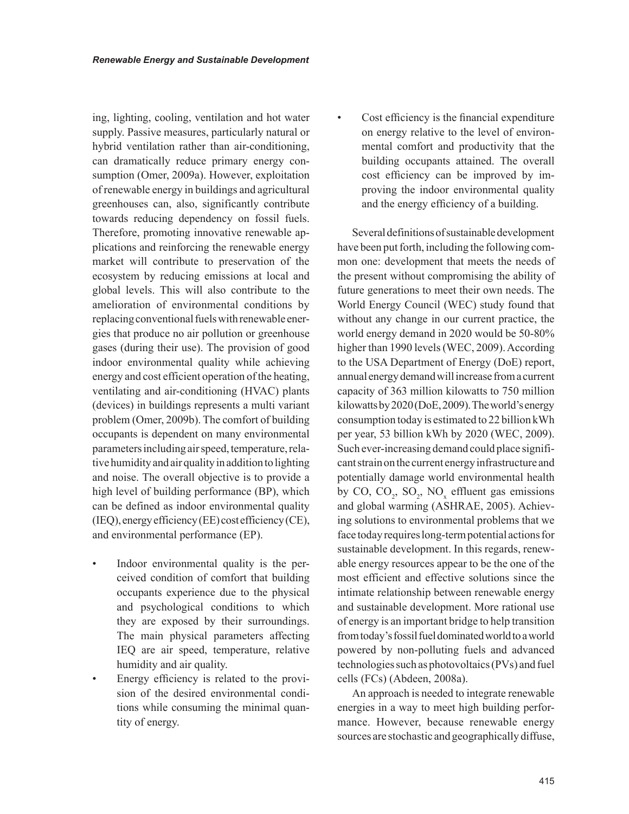ing, lighting, cooling, ventilation and hot water supply. Passive measures, particularly natural or hybrid ventilation rather than air-conditioning, can dramatically reduce primary energy consumption (Omer, 2009a). However, exploitation of renewable energy in buildings and agricultural greenhouses can, also, significantly contribute towards reducing dependency on fossil fuels. Therefore, promoting innovative renewable applications and reinforcing the renewable energy market will contribute to preservation of the ecosystem by reducing emissions at local and global levels. This will also contribute to the amelioration of environmental conditions by replacing conventional fuels with renewable energies that produce no air pollution or greenhouse gases (during their use). The provision of good indoor environmental quality while achieving energy and cost efficient operation of the heating, ventilating and air-conditioning (HVAC) plants (devices) in buildings represents a multi variant problem (Omer, 2009b). The comfort of building occupants is dependent on many environmental parameters including air speed, temperature, relative humidity and air quality in addition to lighting and noise. The overall objective is to provide a high level of building performance (BP), which can be defined as indoor environmental quality (IEQ), energy efficiency (EE) cost efficiency (CE), and environmental performance (EP).

- Indoor environmental quality is the perceived condition of comfort that building occupants experience due to the physical and psychological conditions to which they are exposed by their surroundings. The main physical parameters affecting IEQ are air speed, temperature, relative humidity and air quality.
- Energy efficiency is related to the provision of the desired environmental conditions while consuming the minimal quantity of energy.

Cost efficiency is the financial expenditure on energy relative to the level of environmental comfort and productivity that the building occupants attained. The overall cost efficiency can be improved by improving the indoor environmental quality and the energy efficiency of a building.

Several definitions of sustainable development have been put forth, including the following common one: development that meets the needs of the present without compromising the ability of future generations to meet their own needs. The World Energy Council (WEC) study found that without any change in our current practice, the world energy demand in 2020 would be 50-80% higher than 1990 levels (WEC, 2009). According to the USA Department of Energy (DoE) report, annual energy demand will increase from a current capacity of 363 million kilowatts to 750 million kilowatts by 2020 (DoE, 2009). The world's energy consumption today is estimated to 22 billion kWh per year, 53 billion kWh by 2020 (WEC, 2009). Such ever-increasing demand could place significant strain on the current energy infrastructure and potentially damage world environmental health by CO,  $CO_2$ ,  $SO_2$ , NO<sub>x</sub> effluent gas emissions and global warming (ASHRAE, 2005). Achieving solutions to environmental problems that we face today requires long-term potential actions for sustainable development. In this regards, renewable energy resources appear to be the one of the most efficient and effective solutions since the intimate relationship between renewable energy and sustainable development. More rational use of energy is an important bridge to help transition from today's fossil fuel dominated world to a world powered by non-polluting fuels and advanced technologies such as photovoltaics (PVs) and fuel cells (FCs) (Abdeen, 2008a).

An approach is needed to integrate renewable energies in a way to meet high building performance. However, because renewable energy sources are stochastic and geographically diffuse,